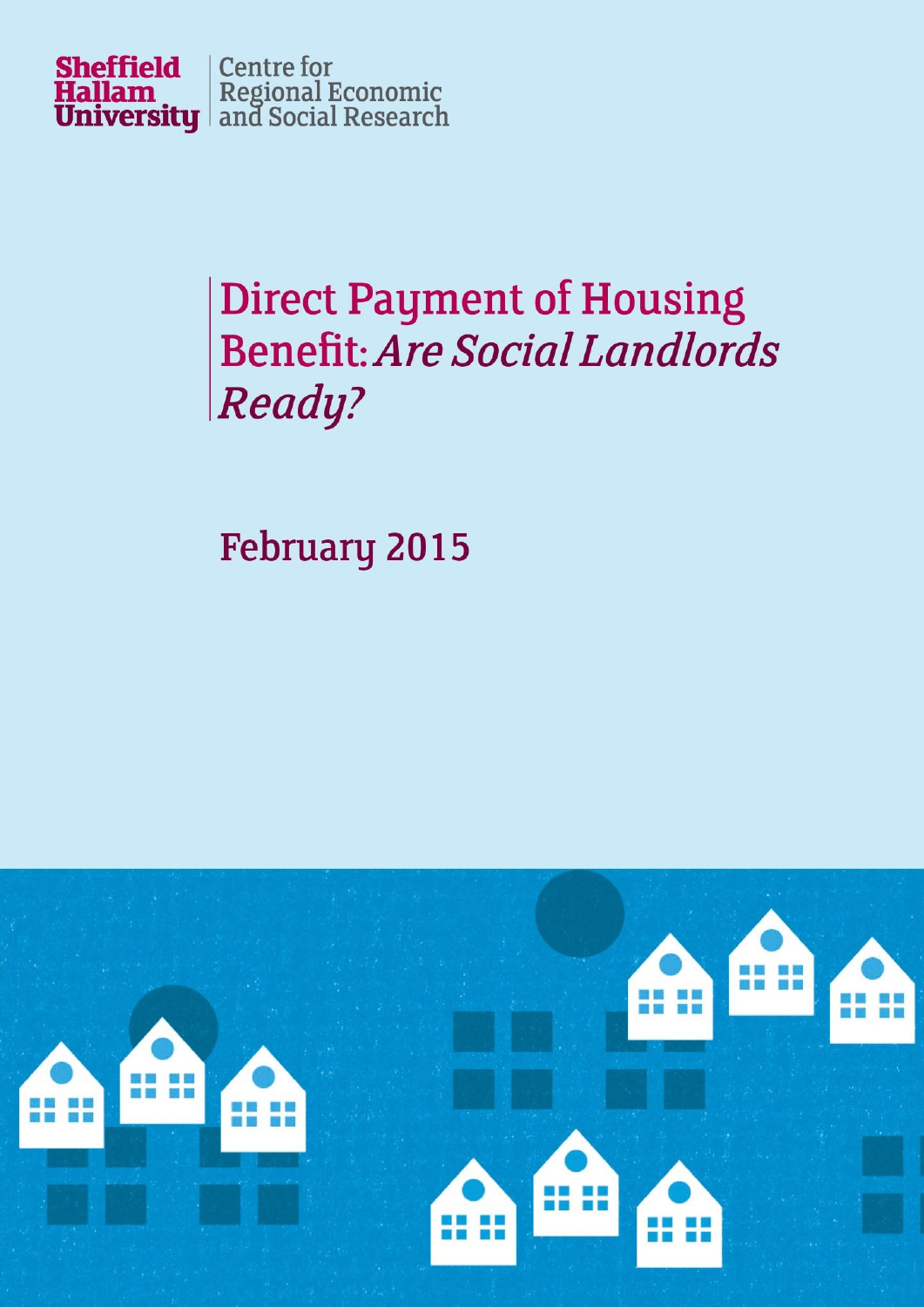

# **Direct Payment of Housing Benefit: Are Social Landlords** Ready?

**February 2015** 

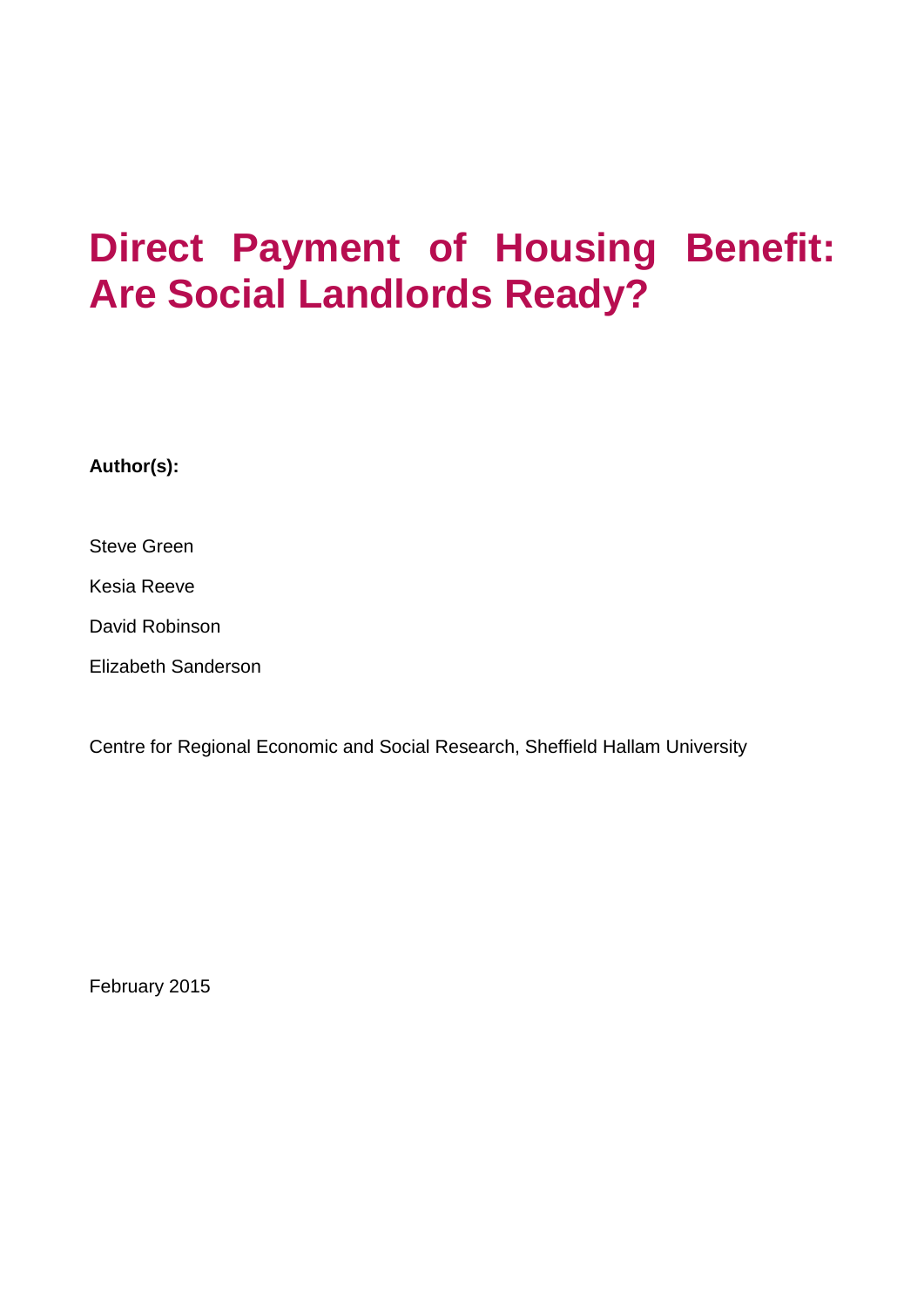## **Direct Payment of Housing Benefit: Are Social Landlords Ready?**

**Author(s):**

Steve Green

Kesia Reeve

David Robinson

Elizabeth Sanderson

Centre for Regional Economic and Social Research, Sheffield Hallam University

February 2015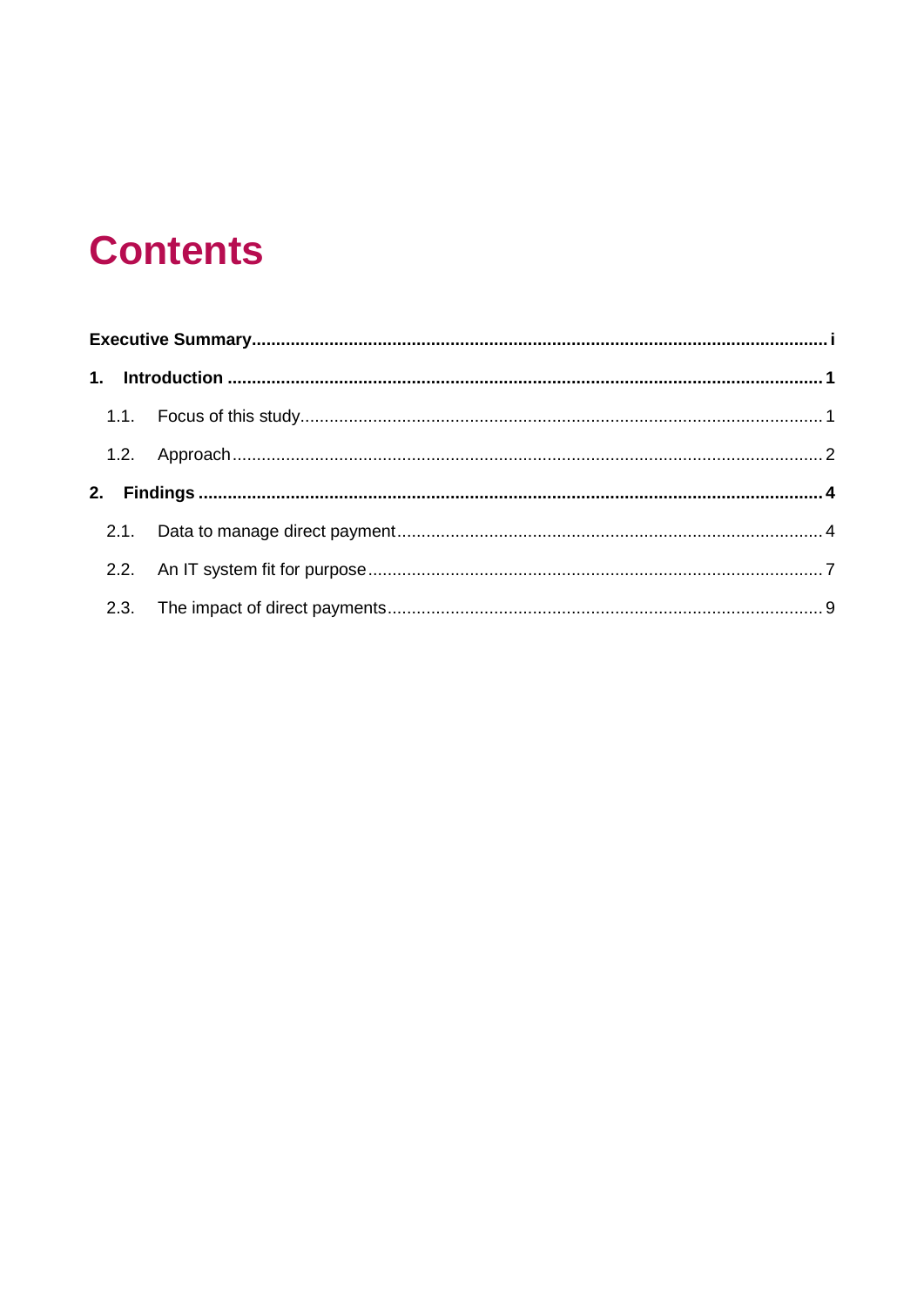### **Contents**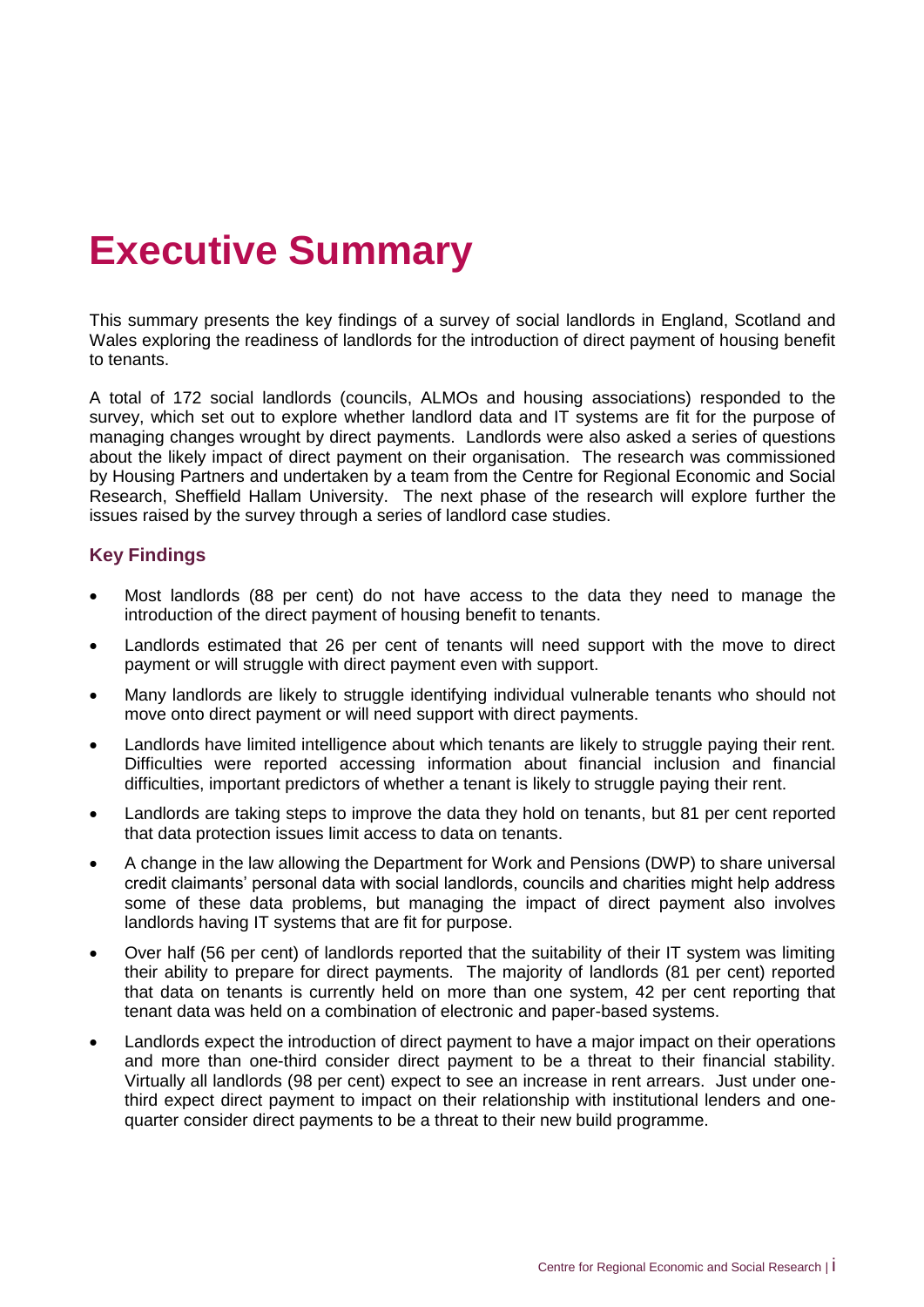### <span id="page-3-0"></span>**Executive Summary**

This summary presents the key findings of a survey of social landlords in England, Scotland and Wales exploring the readiness of landlords for the introduction of direct payment of housing benefit to tenants.

A total of 172 social landlords (councils, ALMOs and housing associations) responded to the survey, which set out to explore whether landlord data and IT systems are fit for the purpose of managing changes wrought by direct payments. Landlords were also asked a series of questions about the likely impact of direct payment on their organisation. The research was commissioned by Housing Partners and undertaken by a team from the Centre for Regional Economic and Social Research, Sheffield Hallam University. The next phase of the research will explore further the issues raised by the survey through a series of landlord case studies.

### **Key Findings**

- Most landlords (88 per cent) do not have access to the data they need to manage the introduction of the direct payment of housing benefit to tenants.
- Landlords estimated that 26 per cent of tenants will need support with the move to direct payment or will struggle with direct payment even with support.
- Many landlords are likely to struggle identifying individual vulnerable tenants who should not move onto direct payment or will need support with direct payments.
- Landlords have limited intelligence about which tenants are likely to struggle paying their rent. Difficulties were reported accessing information about financial inclusion and financial difficulties, important predictors of whether a tenant is likely to struggle paying their rent.
- Landlords are taking steps to improve the data they hold on tenants, but 81 per cent reported that data protection issues limit access to data on tenants.
- A change in the law allowing the Department for Work and Pensions (DWP) to share universal credit claimants' personal data with social landlords, councils and charities might help address some of these data problems, but managing the impact of direct payment also involves landlords having IT systems that are fit for purpose.
- Over half (56 per cent) of landlords reported that the suitability of their IT system was limiting their ability to prepare for direct payments. The majority of landlords (81 per cent) reported that data on tenants is currently held on more than one system, 42 per cent reporting that tenant data was held on a combination of electronic and paper-based systems.
- Landlords expect the introduction of direct payment to have a major impact on their operations and more than one-third consider direct payment to be a threat to their financial stability. Virtually all landlords (98 per cent) expect to see an increase in rent arrears. Just under onethird expect direct payment to impact on their relationship with institutional lenders and onequarter consider direct payments to be a threat to their new build programme.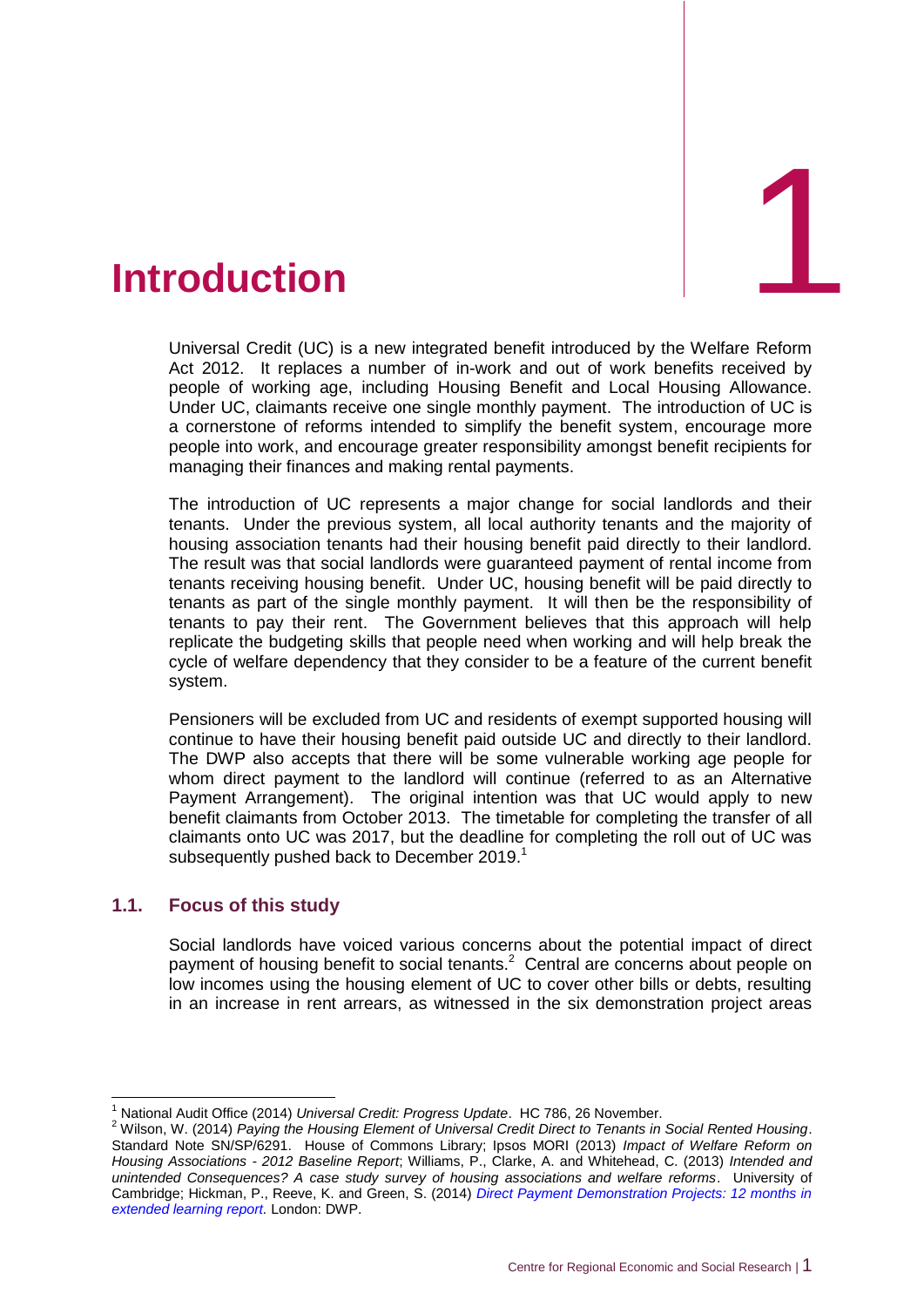<span id="page-4-0"></span>

Universal Credit (UC) is a new integrated benefit introduced by the Welfare Reform Act 2012. It replaces a number of in-work and out of work benefits received by people of working age, including Housing Benefit and Local Housing Allowance. Under UC, claimants receive one single monthly payment. The introduction of UC is a cornerstone of reforms intended to simplify the benefit system, encourage more people into work, and encourage greater responsibility amongst benefit recipients for managing their finances and making rental payments.

The introduction of UC represents a major change for social landlords and their tenants. Under the previous system, all local authority tenants and the majority of housing association tenants had their housing benefit paid directly to their landlord. The result was that social landlords were guaranteed payment of rental income from tenants receiving housing benefit. Under UC, housing benefit will be paid directly to tenants as part of the single monthly payment. It will then be the responsibility of tenants to pay their rent. The Government believes that this approach will help replicate the budgeting skills that people need when working and will help break the cycle of welfare dependency that they consider to be a feature of the current benefit system.

Pensioners will be excluded from UC and residents of exempt supported housing will continue to have their housing benefit paid outside UC and directly to their landlord. The DWP also accepts that there will be some vulnerable working age people for whom direct payment to the landlord will continue (referred to as an Alternative Payment Arrangement). The original intention was that UC would apply to new benefit claimants from October 2013. The timetable for completing the transfer of all claimants onto UC was 2017, but the deadline for completing the roll out of UC was subsequently pushed back to December 2019.<sup>1</sup>

### <span id="page-4-1"></span>**1.1. Focus of this study**

 $\overline{1}$ 

Social landlords have voiced various concerns about the potential impact of direct payment of housing benefit to social tenants. $2$  Central are concerns about people on low incomes using the housing element of UC to cover other bills or debts, resulting in an increase in rent arrears, as witnessed in the six demonstration project areas

<sup>1</sup> National Audit Office (2014) *Universal Credit: Progress Update*. HC 786, 26 November.

<sup>2</sup> Wilson, W. (2014) *Paying the Housing Element of Universal Credit Direct to Tenants in Social Rented Housing*. Standard Note SN/SP/6291. House of Commons Library; Ipsos MORI (2013) *Impact of Welfare Reform on Housing Associations - 2012 Baseline Report*; Williams, P., Clarke, A. and Whitehead, C. (2013) *Intended and unintended Consequences? A case study survey of housing associations and welfare reforms*. University of Cambridge; Hickman, P., Reeve, K. and Green, S. (2014) *[Direct Payment Demonstration Projects: 12 months in](http://www.shu.ac.uk/research/cresr/sites/shu.ac.uk/files/dpdp-12-months-in-extended-learning-report.pdf)  [extended learning report.](http://www.shu.ac.uk/research/cresr/sites/shu.ac.uk/files/dpdp-12-months-in-extended-learning-report.pdf)* London: DWP.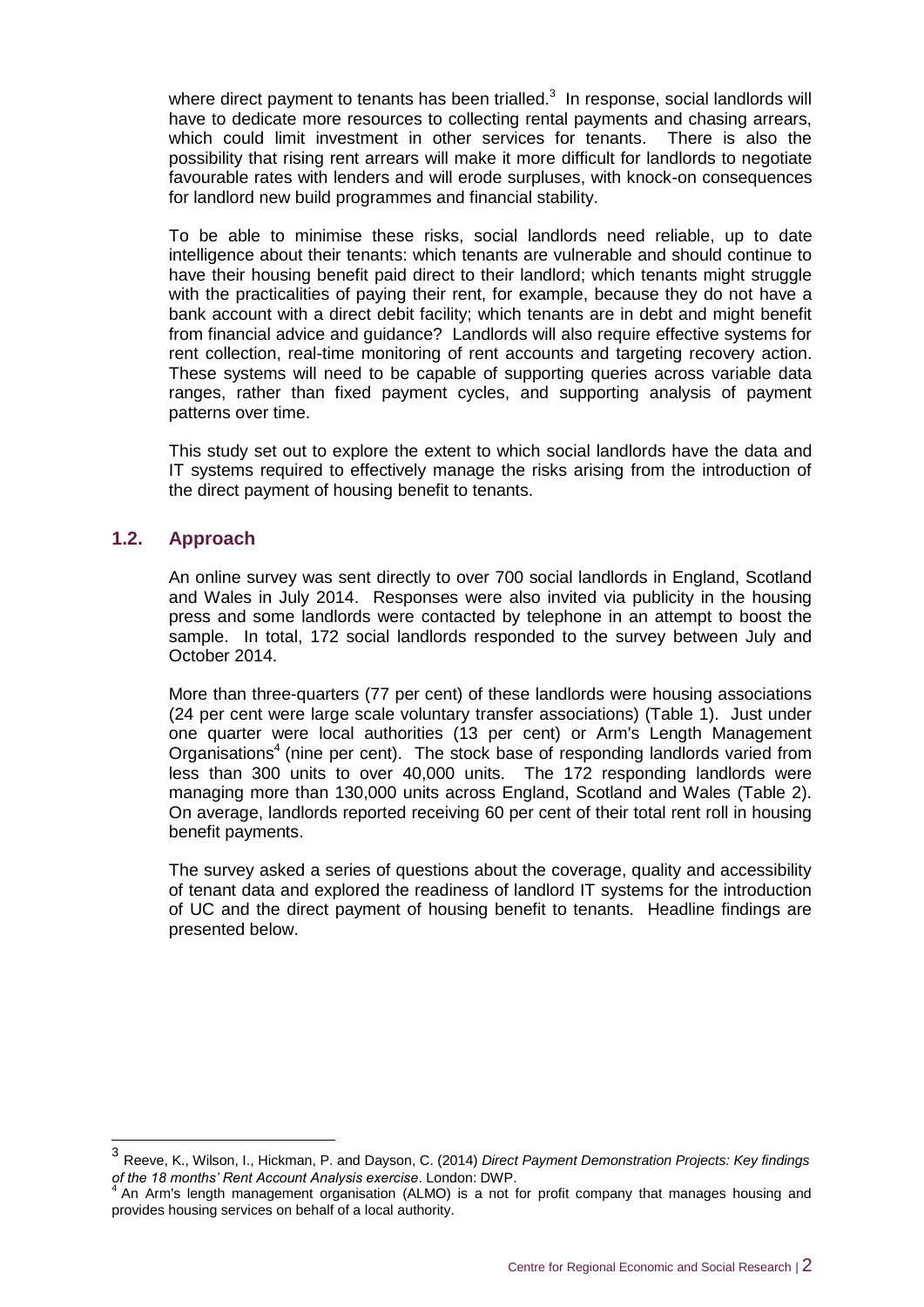where direct payment to tenants has been trialled. $3\,$  In response, social landlords will have to dedicate more resources to collecting rental payments and chasing arrears, which could limit investment in other services for tenants. There is also the possibility that rising rent arrears will make it more difficult for landlords to negotiate favourable rates with lenders and will erode surpluses, with knock-on consequences for landlord new build programmes and financial stability.

To be able to minimise these risks, social landlords need reliable, up to date intelligence about their tenants: which tenants are vulnerable and should continue to have their housing benefit paid direct to their landlord; which tenants might struggle with the practicalities of paying their rent, for example, because they do not have a bank account with a direct debit facility; which tenants are in debt and might benefit from financial advice and guidance? Landlords will also require effective systems for rent collection, real-time monitoring of rent accounts and targeting recovery action. These systems will need to be capable of supporting queries across variable data ranges, rather than fixed payment cycles, and supporting analysis of payment patterns over time.

This study set out to explore the extent to which social landlords have the data and IT systems required to effectively manage the risks arising from the introduction of the direct payment of housing benefit to tenants.

### <span id="page-5-0"></span>**1.2. Approach**

-

An online survey was sent directly to over 700 social landlords in England, Scotland and Wales in July 2014. Responses were also invited via publicity in the housing press and some landlords were contacted by telephone in an attempt to boost the sample. In total, 172 social landlords responded to the survey between July and October 2014.

More than three-quarters (77 per cent) of these landlords were housing associations (24 per cent were large scale voluntary transfer associations) (Table 1). Just under one quarter were local authorities (13 per cent) or Arm's Length Management Organisations<sup>4</sup> (nine per cent). The stock base of responding landlords varied from less than 300 units to over 40,000 units. The 172 responding landlords were managing more than 130,000 units across England, Scotland and Wales (Table 2). On average, landlords reported receiving 60 per cent of their total rent roll in housing benefit payments.

The survey asked a series of questions about the coverage, quality and accessibility of tenant data and explored the readiness of landlord IT systems for the introduction of UC and the direct payment of housing benefit to tenants. Headline findings are presented below.

<sup>3</sup> Reeve, K., Wilson, I., Hickman, P. and Dayson, C. (2014) *Direct Payment Demonstration Projects: Key findings of the 18 months' Rent Account Analysis exercise*. London: DWP. 4

An Arm's length management organisation (ALMO) is a not for profit company that manages housing and provides housing services on behalf of a local authority.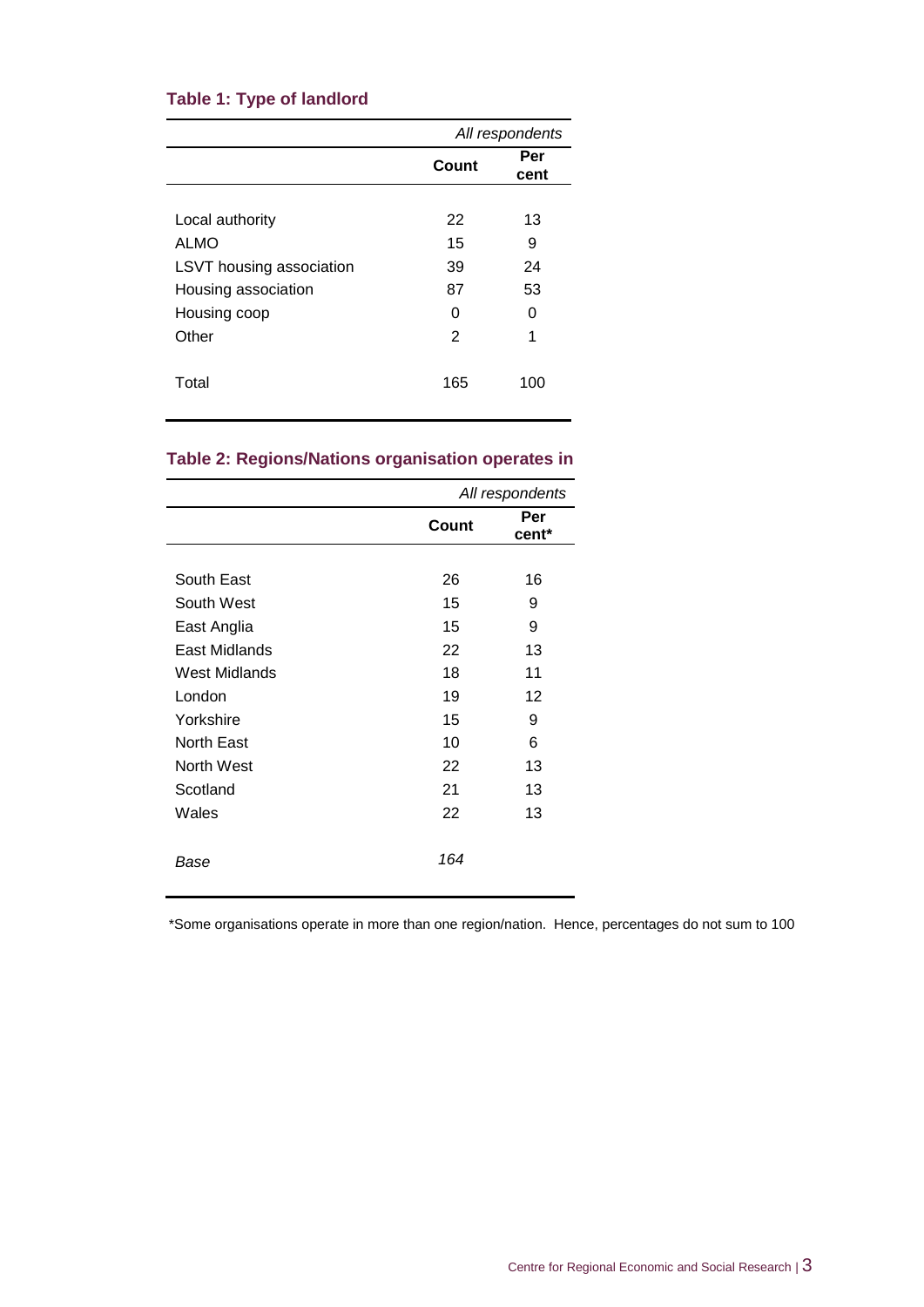### **Table 1: Type of landlord**

|                          | All respondents |             |  |  |  |
|--------------------------|-----------------|-------------|--|--|--|
|                          | Count           | Per<br>cent |  |  |  |
|                          |                 |             |  |  |  |
| Local authority          | 22              | 13          |  |  |  |
| ALMO                     | 15              | 9           |  |  |  |
| LSVT housing association | 39              | 24          |  |  |  |
| Housing association      | 87              | 53          |  |  |  |
| Housing coop             | 0               | 0           |  |  |  |
| Other                    | 2               | 1           |  |  |  |
| Total                    | 165             | 100         |  |  |  |

### **Table 2: Regions/Nations organisation operates in**

|                   |       | All respondents |
|-------------------|-------|-----------------|
|                   | Count | Per<br>cent*    |
|                   |       |                 |
| South East        | 26    | 16              |
| South West        | 15    | 9               |
| East Anglia       | 15    | 9               |
| East Midlands     | 22    | 13              |
| West Midlands     | 18    | 11              |
| London            | 19    | 12              |
| Yorkshire         | 15    | 9               |
| <b>North East</b> | 10    | 6               |
| North West        | 22    | 13              |
| Scotland          | 21    | 13              |
| Wales             | 22    | 13              |
| Base              | 164   |                 |

\*Some organisations operate in more than one region/nation. Hence, percentages do not sum to 100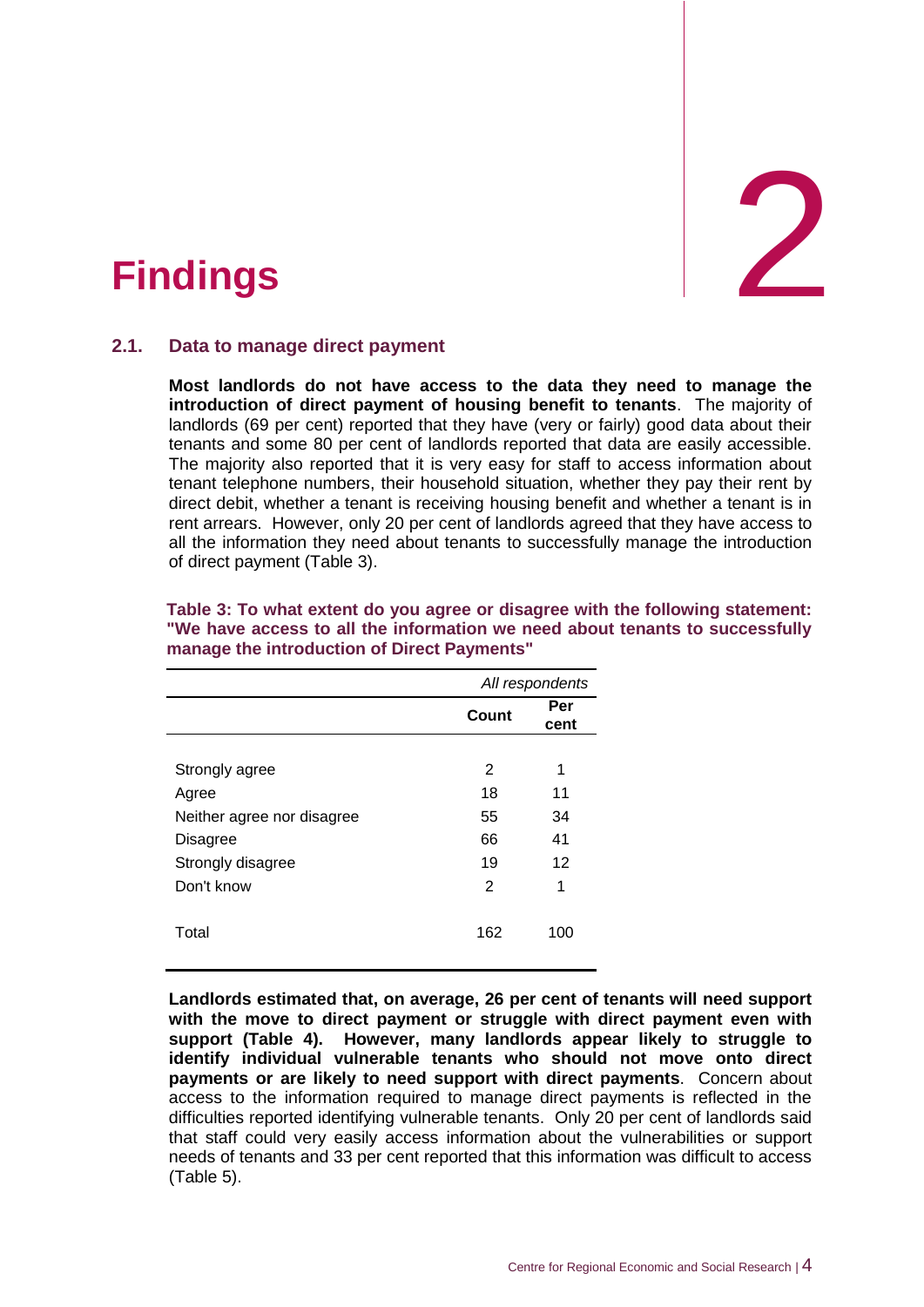

### <span id="page-7-0"></span>2. **Findings**

### <span id="page-7-1"></span>**2.1. Data to manage direct payment**

**Most landlords do not have access to the data they need to manage the introduction of direct payment of housing benefit to tenants**. The majority of landlords (69 per cent) reported that they have (very or fairly) good data about their tenants and some 80 per cent of landlords reported that data are easily accessible. The majority also reported that it is very easy for staff to access information about tenant telephone numbers, their household situation, whether they pay their rent by direct debit, whether a tenant is receiving housing benefit and whether a tenant is in rent arrears. However, only 20 per cent of landlords agreed that they have access to all the information they need about tenants to successfully manage the introduction of direct payment (Table 3).

|                            |       | All respondents |
|----------------------------|-------|-----------------|
|                            | Count | Per<br>cent     |
|                            |       |                 |
| Strongly agree             | 2     | 1               |
| Agree                      | 18    | 11              |
| Neither agree nor disagree | 55    | 34              |
| Disagree                   | 66    | 41              |
| Strongly disagree          | 19    | 12              |
| Don't know                 | 2     | 1               |
| Total                      | 162   | 100             |

#### **Table 3: To what extent do you agree or disagree with the following statement: "We have access to all the information we need about tenants to successfully manage the introduction of Direct Payments"**

**Landlords estimated that, on average, 26 per cent of tenants will need support with the move to direct payment or struggle with direct payment even with support (Table 4). However, many landlords appear likely to struggle to identify individual vulnerable tenants who should not move onto direct payments or are likely to need support with direct payments**. Concern about access to the information required to manage direct payments is reflected in the difficulties reported identifying vulnerable tenants. Only 20 per cent of landlords said that staff could very easily access information about the vulnerabilities or support needs of tenants and 33 per cent reported that this information was difficult to access (Table 5).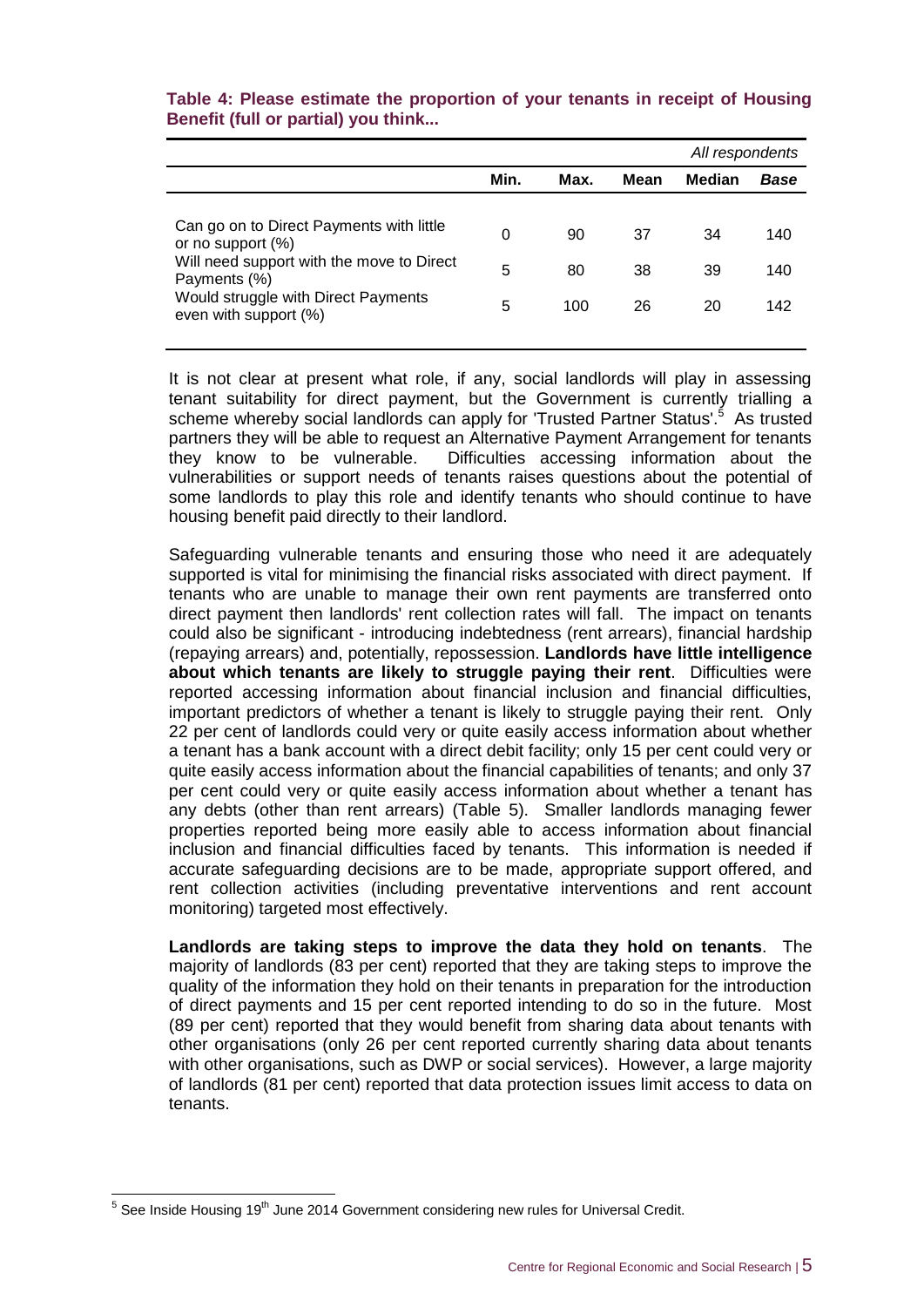|                                                                                                                                                                                            |             |                 | All respondents |                |                   |
|--------------------------------------------------------------------------------------------------------------------------------------------------------------------------------------------|-------------|-----------------|-----------------|----------------|-------------------|
|                                                                                                                                                                                            | Min.        | Max.            | Mean            | <b>Median</b>  | <b>Base</b>       |
| Can go on to Direct Payments with little<br>or no support (%)<br>Will need support with the move to Direct<br>Payments (%)<br>Would struggle with Direct Payments<br>even with support (%) | 0<br>5<br>5 | 90<br>80<br>100 | 37<br>38<br>26  | 34<br>39<br>20 | 140<br>140<br>142 |

### **Table 4: Please estimate the proportion of your tenants in receipt of Housing Benefit (full or partial) you think...**

It is not clear at present what role, if any, social landlords will play in assessing tenant suitability for direct payment, but the Government is currently trialling a scheme whereby social landlords can apply for 'Trusted Partner Status'.<sup>5</sup> As trusted partners they will be able to request an Alternative Payment Arrangement for tenants they know to be vulnerable. Difficulties accessing information about the vulnerabilities or support needs of tenants raises questions about the potential of some landlords to play this role and identify tenants who should continue to have housing benefit paid directly to their landlord.

Safeguarding vulnerable tenants and ensuring those who need it are adequately supported is vital for minimising the financial risks associated with direct payment. If tenants who are unable to manage their own rent payments are transferred onto direct payment then landlords' rent collection rates will fall. The impact on tenants could also be significant - introducing indebtedness (rent arrears), financial hardship (repaying arrears) and, potentially, repossession. **Landlords have little intelligence about which tenants are likely to struggle paying their rent**. Difficulties were reported accessing information about financial inclusion and financial difficulties, important predictors of whether a tenant is likely to struggle paying their rent. Only 22 per cent of landlords could very or quite easily access information about whether a tenant has a bank account with a direct debit facility; only 15 per cent could very or quite easily access information about the financial capabilities of tenants; and only 37 per cent could very or quite easily access information about whether a tenant has any debts (other than rent arrears) (Table 5). Smaller landlords managing fewer properties reported being more easily able to access information about financial inclusion and financial difficulties faced by tenants. This information is needed if accurate safeguarding decisions are to be made, appropriate support offered, and rent collection activities (including preventative interventions and rent account monitoring) targeted most effectively.

**Landlords are taking steps to improve the data they hold on tenants**. The majority of landlords (83 per cent) reported that they are taking steps to improve the quality of the information they hold on their tenants in preparation for the introduction of direct payments and 15 per cent reported intending to do so in the future. Most (89 per cent) reported that they would benefit from sharing data about tenants with other organisations (only 26 per cent reported currently sharing data about tenants with other organisations, such as DWP or social services). However, a large majority of landlords (81 per cent) reported that data protection issues limit access to data on tenants.

 5 See Inside Housing 19th June 2014 Government considering new rules for Universal Credit.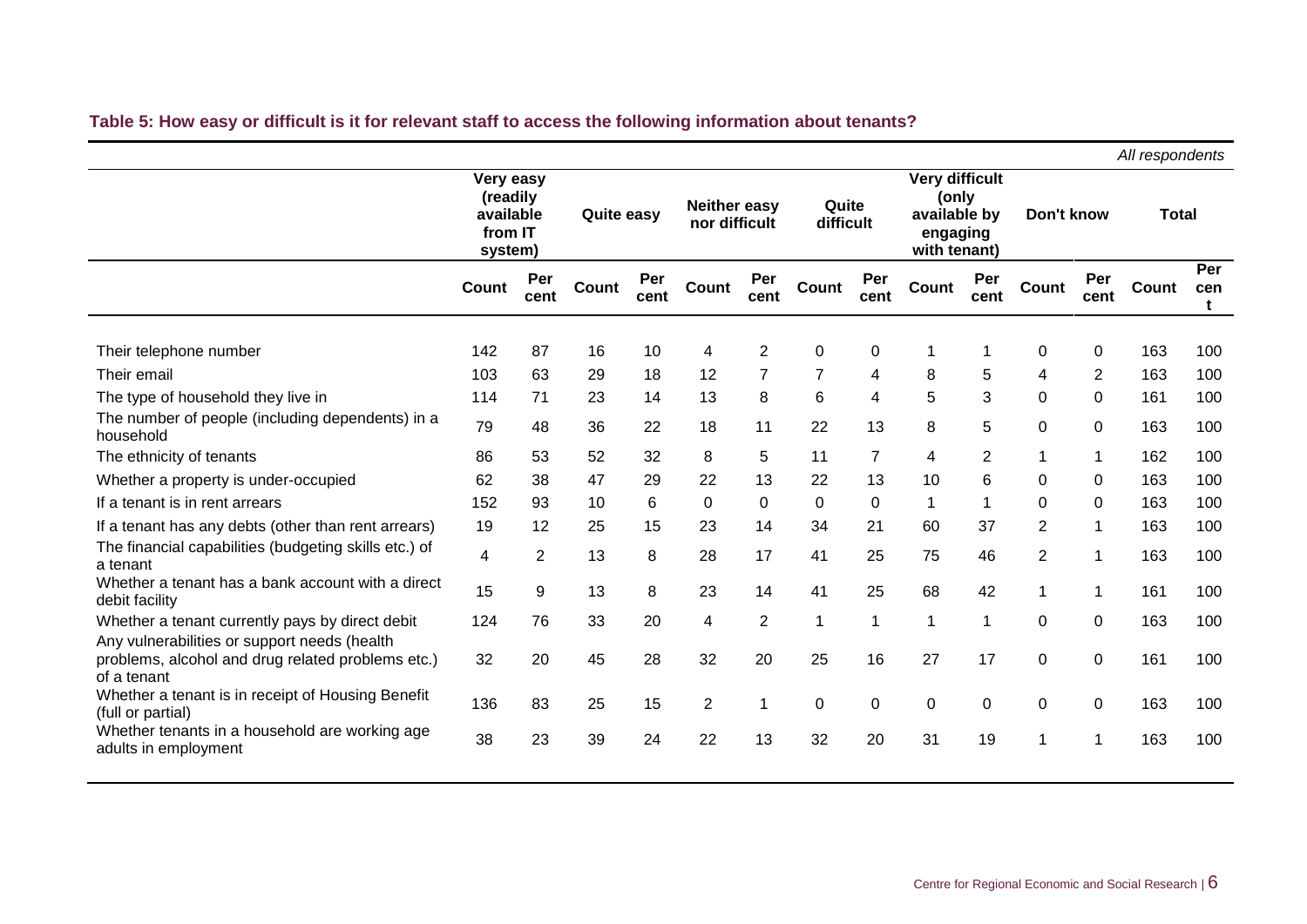### **Table 5: How easy or difficult is it for relevant staff to access the following information about tenants?**

|                                                                                                 |                                                          |             |                   |             |                                      |                |                    |                |                                                                            |                |                |             | All respondents |                 |
|-------------------------------------------------------------------------------------------------|----------------------------------------------------------|-------------|-------------------|-------------|--------------------------------------|----------------|--------------------|----------------|----------------------------------------------------------------------------|----------------|----------------|-------------|-----------------|-----------------|
|                                                                                                 | Very easy<br>(readily<br>available<br>from IT<br>system) |             | <b>Quite easy</b> |             | <b>Neither easy</b><br>nor difficult |                | Quite<br>difficult |                | <b>Very difficult</b><br>(only<br>available by<br>engaging<br>with tenant) |                | Don't know     |             | <b>Total</b>    |                 |
|                                                                                                 | Count                                                    | Per<br>cent | Count             | Per<br>cent | Count                                | Per<br>cent    | Count              | Per<br>cent    | Count                                                                      | Per<br>cent    | Count          | Per<br>cent | Count           | Per<br>cen<br>t |
| Their telephone number                                                                          | 142                                                      | 87          | 16                | 10          | 4                                    | $\overline{2}$ | 0                  | 0              | 1                                                                          | 1              | 0              | 0           | 163             | 100             |
| Their email                                                                                     | 103                                                      | 63          | 29                | 18          | 12                                   | $\overline{7}$ | $\overline{7}$     | 4              | 8                                                                          | 5              | 4              | 2           | 163             | 100             |
| The type of household they live in                                                              | 114                                                      | 71          | 23                | 14          | 13                                   | 8              | 6                  | 4              | 5                                                                          | 3              | 0              | 0           | 161             | 100             |
| The number of people (including dependents) in a<br>household                                   | 79                                                       | 48          | 36                | 22          | 18                                   | 11             | 22                 | 13             | 8                                                                          | 5              | 0              | 0           | 163             | 100             |
| The ethnicity of tenants                                                                        | 86                                                       | 53          | 52                | 32          | 8                                    | 5              | 11                 | $\overline{7}$ | 4                                                                          | $\overline{2}$ | $\mathbf 1$    | 1           | 162             | 100             |
| Whether a property is under-occupied                                                            | 62                                                       | 38          | 47                | 29          | 22                                   | 13             | 22                 | 13             | 10                                                                         | 6              | 0              | 0           | 163             | 100             |
| If a tenant is in rent arrears                                                                  | 152                                                      | 93          | 10                | 6           | 0                                    | 0              | 0                  | $\Omega$       | $\mathbf 1$                                                                | 1              | 0              | 0           | 163             | 100             |
| If a tenant has any debts (other than rent arrears)                                             | 19                                                       | 12          | 25                | 15          | 23                                   | 14             | 34                 | 21             | 60                                                                         | 37             | $\overline{2}$ | $\mathbf 1$ | 163             | 100             |
| The financial capabilities (budgeting skills etc.) of<br>a tenant                               | 4                                                        | 2           | 13                | 8           | 28                                   | 17             | 41                 | 25             | 75                                                                         | 46             | $\overline{2}$ | 1           | 163             | 100             |
| Whether a tenant has a bank account with a direct<br>debit facility                             | 15                                                       | 9           | 13                | 8           | 23                                   | 14             | 41                 | 25             | 68                                                                         | 42             | 1              | 1           | 161             | 100             |
| Whether a tenant currently pays by direct debit<br>Any vulnerabilities or support needs (health | 124                                                      | 76          | 33                | 20          | 4                                    | $\overline{2}$ | 1                  |                | 1                                                                          | -1             | 0              | 0           | 163             | 100             |
| problems, alcohol and drug related problems etc.)<br>of a tenant                                | 32                                                       | 20          | 45                | 28          | 32                                   | 20             | 25                 | 16             | 27                                                                         | 17             | 0              | 0           | 161             | 100             |
| Whether a tenant is in receipt of Housing Benefit<br>(full or partial)                          | 136                                                      | 83          | 25                | 15          | $\overline{2}$                       | 1              | 0                  | 0              | 0                                                                          | 0              | 0              | $\mathbf 0$ | 163             | 100             |
| Whether tenants in a household are working age<br>adults in employment                          | 38                                                       | 23          | 39                | 24          | 22                                   | 13             | 32                 | 20             | 31                                                                         | 19             | -1             | 1           | 163             | 100             |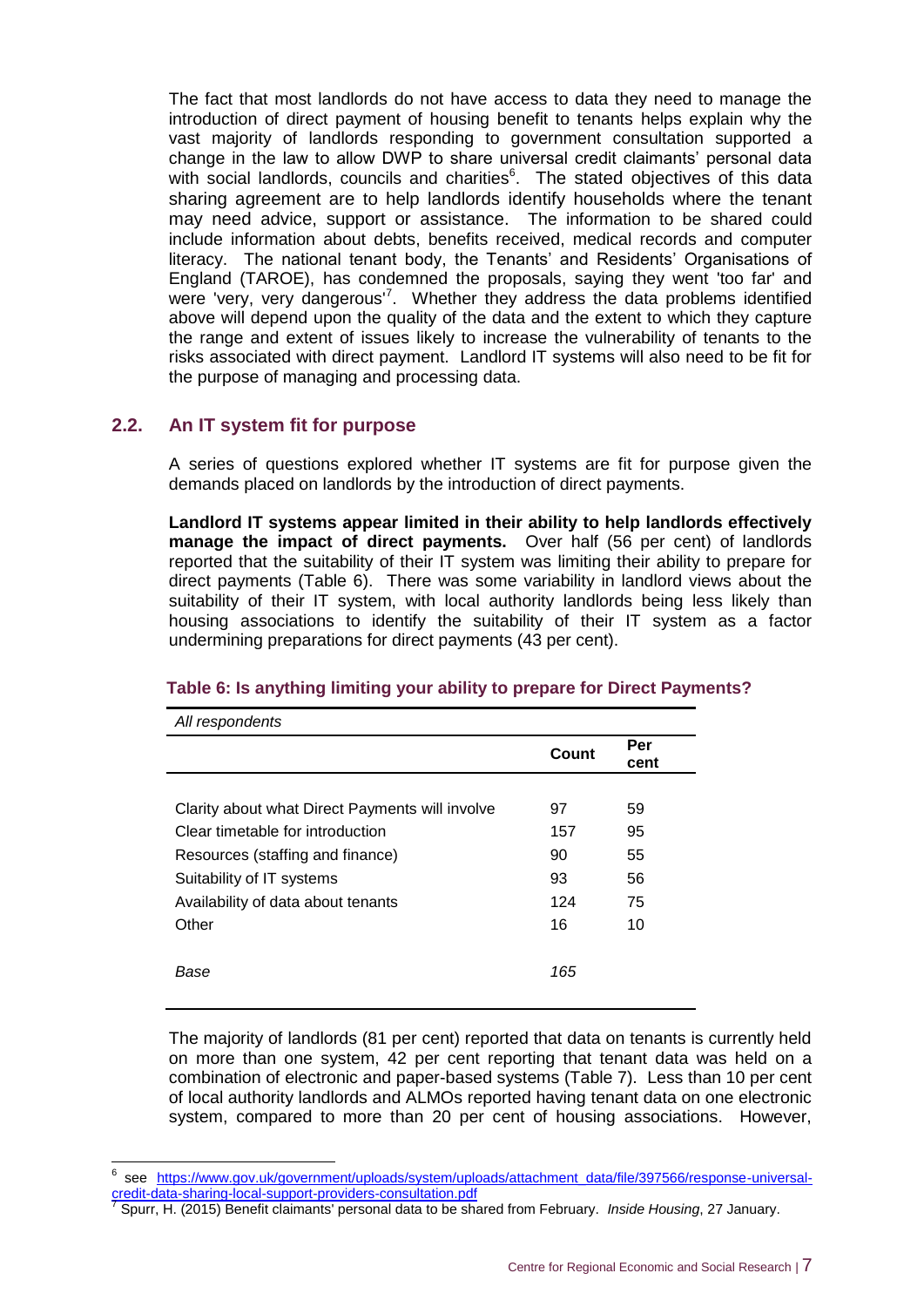The fact that most landlords do not have access to data they need to manage the introduction of direct payment of housing benefit to tenants helps explain why the vast majority of landlords responding to government consultation supported a change in the law to allow DWP to share universal credit claimants' personal data with social landlords, councils and charities $6$ . The stated objectives of this data sharing agreement are to help landlords identify households where the tenant may need advice, support or assistance. The information to be shared could include information about debts, benefits received, medical records and computer literacy. The national tenant body, the Tenants' and Residents' Organisations of England (TAROE), has condemned the proposals, saying they went 'too far' and were 'very, very dangerous'<sup>7</sup>. Whether they address the data problems identified above will depend upon the quality of the data and the extent to which they capture the range and extent of issues likely to increase the vulnerability of tenants to the risks associated with direct payment. Landlord IT systems will also need to be fit for the purpose of managing and processing data.

### <span id="page-10-0"></span>**2.2. An IT system fit for purpose**

-

A series of questions explored whether IT systems are fit for purpose given the demands placed on landlords by the introduction of direct payments.

**Landlord IT systems appear limited in their ability to help landlords effectively manage the impact of direct payments.** Over half (56 per cent) of landlords reported that the suitability of their IT system was limiting their ability to prepare for direct payments (Table 6). There was some variability in landlord views about the suitability of their IT system, with local authority landlords being less likely than housing associations to identify the suitability of their IT system as a factor undermining preparations for direct payments (43 per cent).

| All respondents                                 |       |             |
|-------------------------------------------------|-------|-------------|
|                                                 | Count | Per<br>cent |
|                                                 |       |             |
| Clarity about what Direct Payments will involve | 97    | 59          |
| Clear timetable for introduction                | 157   | 95          |
| Resources (staffing and finance)                | 90    | 55          |
| Suitability of IT systems                       | 93    | 56          |
| Availability of data about tenants              | 124   | 75          |
| Other                                           | 16    | 10          |
|                                                 |       |             |
| Base                                            | 165   |             |
|                                                 |       |             |

### **Table 6: Is anything limiting your ability to prepare for Direct Payments?**

The majority of landlords (81 per cent) reported that data on tenants is currently held on more than one system, 42 per cent reporting that tenant data was held on a combination of electronic and paper-based systems (Table 7). Less than 10 per cent of local authority landlords and ALMOs reported having tenant data on one electronic system, compared to more than 20 per cent of housing associations. However,

<sup>6</sup> see [https://www.gov.uk/government/uploads/system/uploads/attachment\\_data/file/397566/response-universal](https://www.gov.uk/government/uploads/system/uploads/attachment_data/file/397566/response-universal-credit-data-sharing-local-support-providers-consultation.pdf)[credit-data-sharing-local-support-providers-consultation.pdf](https://www.gov.uk/government/uploads/system/uploads/attachment_data/file/397566/response-universal-credit-data-sharing-local-support-providers-consultation.pdf) 7

Spurr, H. (2015) Benefit claimants' personal data to be shared from February. *Inside Housing*, 27 January.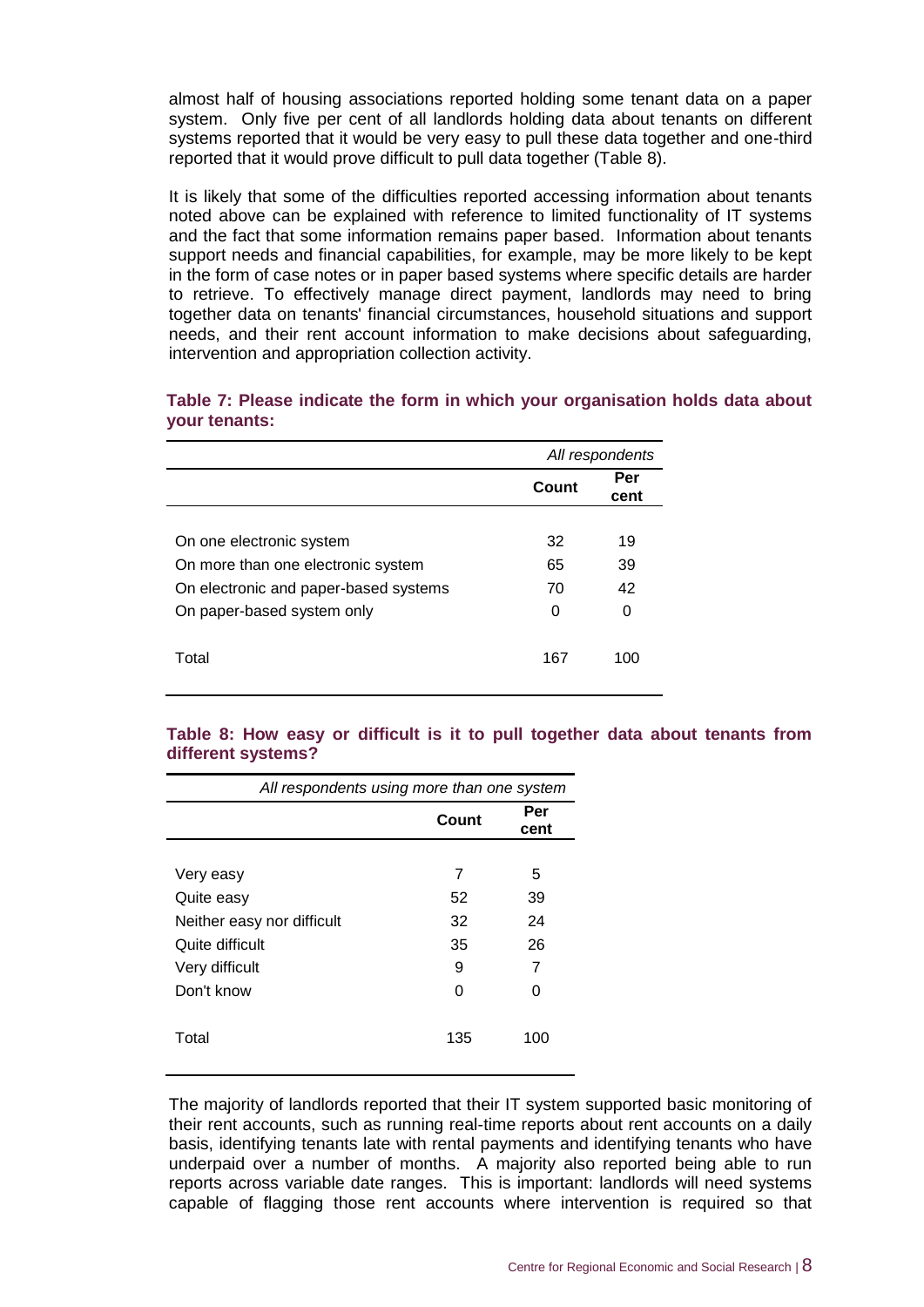almost half of housing associations reported holding some tenant data on a paper system. Only five per cent of all landlords holding data about tenants on different systems reported that it would be very easy to pull these data together and one-third reported that it would prove difficult to pull data together (Table 8).

It is likely that some of the difficulties reported accessing information about tenants noted above can be explained with reference to limited functionality of IT systems and the fact that some information remains paper based. Information about tenants support needs and financial capabilities, for example, may be more likely to be kept in the form of case notes or in paper based systems where specific details are harder to retrieve. To effectively manage direct payment, landlords may need to bring together data on tenants' financial circumstances, household situations and support needs, and their rent account information to make decisions about safeguarding, intervention and appropriation collection activity.

|                                       | All respondents |             |  |  |
|---------------------------------------|-----------------|-------------|--|--|
|                                       | Count           | Per<br>cent |  |  |
|                                       |                 |             |  |  |
| On one electronic system              | 32              | 19          |  |  |
| On more than one electronic system    | 65              | 39          |  |  |
| On electronic and paper-based systems | 70              | 42          |  |  |
| On paper-based system only            | 0               | O           |  |  |
| Total                                 | 167             | 100         |  |  |

### **Table 7: Please indicate the form in which your organisation holds data about your tenants:**

### **Table 8: How easy or difficult is it to pull together data about tenants from different systems?**

| All respondents using more than one system |       |             |  |  |  |  |  |
|--------------------------------------------|-------|-------------|--|--|--|--|--|
|                                            | Count | Per<br>cent |  |  |  |  |  |
|                                            |       |             |  |  |  |  |  |
| Very easy                                  | 7     | 5           |  |  |  |  |  |
| Quite easy                                 | 52    | 39          |  |  |  |  |  |
| Neither easy nor difficult                 | 32    | 24          |  |  |  |  |  |
| Quite difficult                            | 35    | 26          |  |  |  |  |  |
| Very difficult                             | 9     | 7           |  |  |  |  |  |
| Don't know                                 | ი     | 0           |  |  |  |  |  |
| Total                                      | 135   | 100         |  |  |  |  |  |

The majority of landlords reported that their IT system supported basic monitoring of their rent accounts, such as running real-time reports about rent accounts on a daily basis, identifying tenants late with rental payments and identifying tenants who have underpaid over a number of months. A majority also reported being able to run reports across variable date ranges. This is important: landlords will need systems capable of flagging those rent accounts where intervention is required so that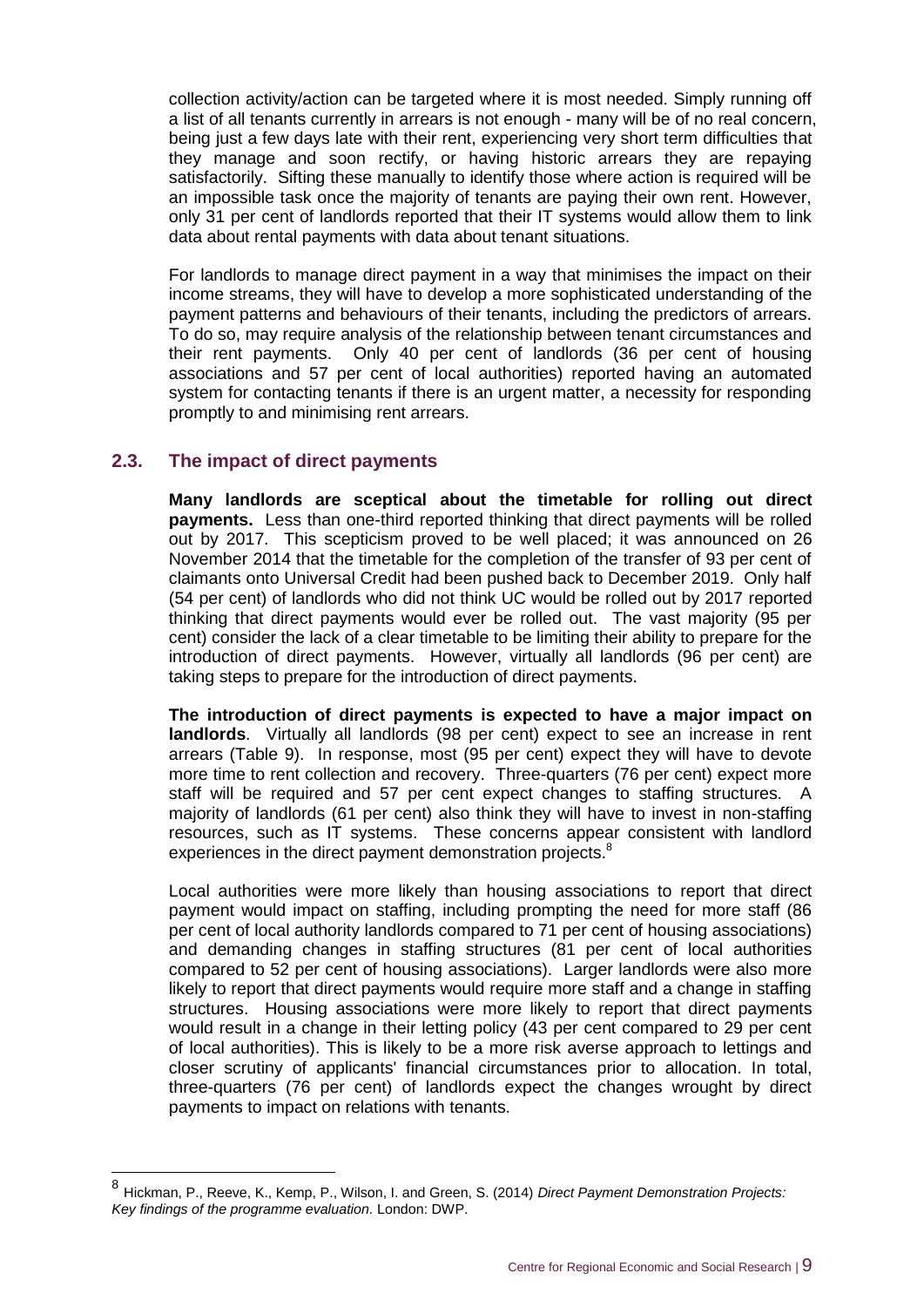collection activity/action can be targeted where it is most needed. Simply running off a list of all tenants currently in arrears is not enough - many will be of no real concern, being just a few days late with their rent, experiencing very short term difficulties that they manage and soon rectify, or having historic arrears they are repaying satisfactorily. Sifting these manually to identify those where action is required will be an impossible task once the majority of tenants are paying their own rent. However, only 31 per cent of landlords reported that their IT systems would allow them to link data about rental payments with data about tenant situations.

For landlords to manage direct payment in a way that minimises the impact on their income streams, they will have to develop a more sophisticated understanding of the payment patterns and behaviours of their tenants, including the predictors of arrears. To do so, may require analysis of the relationship between tenant circumstances and their rent payments. Only 40 per cent of landlords (36 per cent of housing associations and 57 per cent of local authorities) reported having an automated system for contacting tenants if there is an urgent matter, a necessity for responding promptly to and minimising rent arrears.

### <span id="page-12-0"></span>**2.3. The impact of direct payments**

**Many landlords are sceptical about the timetable for rolling out direct payments.** Less than one-third reported thinking that direct payments will be rolled out by 2017. This scepticism proved to be well placed; it was announced on 26 November 2014 that the timetable for the completion of the transfer of 93 per cent of claimants onto Universal Credit had been pushed back to December 2019. Only half (54 per cent) of landlords who did not think UC would be rolled out by 2017 reported thinking that direct payments would ever be rolled out. The vast majority (95 per cent) consider the lack of a clear timetable to be limiting their ability to prepare for the introduction of direct payments. However, virtually all landlords (96 per cent) are taking steps to prepare for the introduction of direct payments.

**The introduction of direct payments is expected to have a major impact on landlords**. Virtually all landlords (98 per cent) expect to see an increase in rent arrears (Table 9). In response, most (95 per cent) expect they will have to devote more time to rent collection and recovery. Three-quarters (76 per cent) expect more staff will be required and 57 per cent expect changes to staffing structures. A majority of landlords (61 per cent) also think they will have to invest in non-staffing resources, such as IT systems. These concerns appear consistent with landlord experiences in the direct payment demonstration projects.<sup>8</sup>

Local authorities were more likely than housing associations to report that direct payment would impact on staffing, including prompting the need for more staff (86 per cent of local authority landlords compared to 71 per cent of housing associations) and demanding changes in staffing structures (81 per cent of local authorities compared to 52 per cent of housing associations). Larger landlords were also more likely to report that direct payments would require more staff and a change in staffing structures. Housing associations were more likely to report that direct payments would result in a change in their letting policy (43 per cent compared to 29 per cent of local authorities). This is likely to be a more risk averse approach to lettings and closer scrutiny of applicants' financial circumstances prior to allocation. In total, three-quarters (76 per cent) of landlords expect the changes wrought by direct payments to impact on relations with tenants.

 8 Hickman, P., Reeve, K., Kemp, P., Wilson, I. and Green, S. (2014) *Direct Payment Demonstration Projects: Key findings of the programme evaluation.* London: DWP.